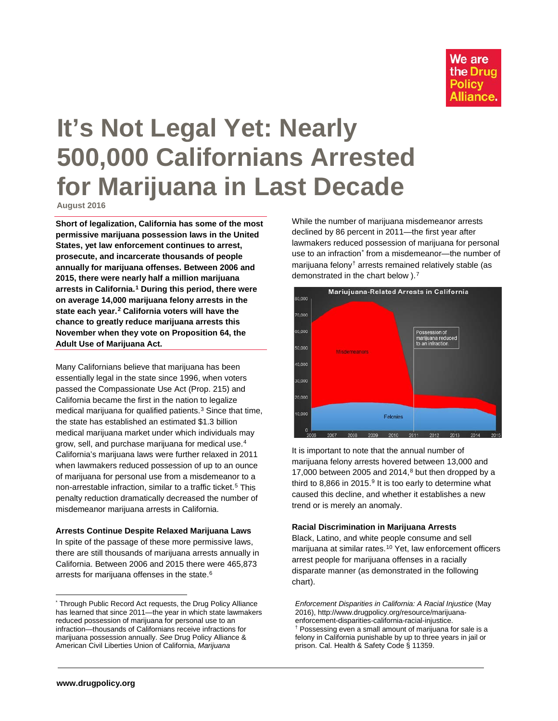

# **It's Not Legal Yet: Nearly 500,000 Californians Arrested for Marijuana in Last Decade**

**August 2016**

**Short of legalization, California has some of the most permissive marijuana possession laws in the United States, yet law enforcement continues to arrest, prosecute, and incarcerate thousands of people annually for marijuana offenses. Between 2006 and 2015, there were nearly half a million marijuana arrests in California.[1](#page-2-0) During this period, there were on average 14,000 marijuana felony arrests in the state each year.[2](#page-2-1) California voters will have the chance to greatly reduce marijuana arrests this November when they vote on Proposition 64, the Adult Use of Marijuana Act.**

Many Californians believe that marijuana has been essentially legal in the state since 1996, when voters passed the Compassionate Use Act (Prop. 215) and California became the first in the nation to legalize medical marijuana for qualified patients.<sup>[3](#page-2-2)</sup> Since that time, the state has established an estimated \$1.3 billion medical marijuana market under which individuals may grow, sell, and purchase marijuana for medical use.[4](#page-2-3) California's marijuana laws were further relaxed in 2011 when lawmakers reduced possession of up to an ounce of marijuana for personal use from a misdemeanor to a non-arrestable infraction, similar to a traffic ticket.<sup>[5](#page-2-4)</sup> This penalty reduction dramatically decreased the number of misdemeanor marijuana arrests in California.

## **Arrests Continue Despite Relaxed Marijuana Laws**

In spite of the passage of these more permissive laws, there are still thousands of marijuana arrests annually in California. Between 2006 and 2015 there were 465,873 arrests for marijuana offenses in the state.<sup>[6](#page-2-5)</sup>

While the number of marijuana misdemeanor arrests declined by 86 percent in 2011—the first year after lawmakers reduced possession of marijuana for personal use to an infraction<sup>[\\*](#page-0-0)</sup> from a misdemeanor—the number of marijuana felony[†](#page-0-1) arrests remained relatively stable (as demonstrated in the chart below ).<sup>[7](#page-2-6)</sup>



It is important to note that the annual number of marijuana felony arrests hovered between 13,000 and 17,000 between 2005 and 2014, $8$  but then dropped by a third to 8.866 in 2015. $9$  It is too early to determine what caused this decline, and whether it establishes a new trend or is merely an anomaly.

## **Racial Discrimination in Marijuana Arrests**

Black, Latino, and white people consume and sell marijuana at similar rates.<sup>[10](#page-2-9)</sup> Yet, law enforcement officers arrest people for marijuana offenses in a racially disparate manner (as demonstrated in the following chart).

*Enforcement Disparities in California: A Racial Injustice* (May 2016), http://www.drugpolicy.org/resource/marijuanaenforcement-disparities-california-racial-injustice. † Possessing even a small amount of marijuana for sale is a felony in California punishable by up to three years in jail or prison. Cal. Health & Safety Code § 11359.

<span id="page-0-1"></span><span id="page-0-0"></span><sup>\*</sup> Through Public Record Act requests, the Drug Policy Alliance has learned that since 2011—the year in which state lawmakers reduced possession of marijuana for personal use to an infraction—thousands of Californians receive infractions for marijuana possession annually. *See* Drug Policy Alliance & American Civil Liberties Union of California, *Marijuana*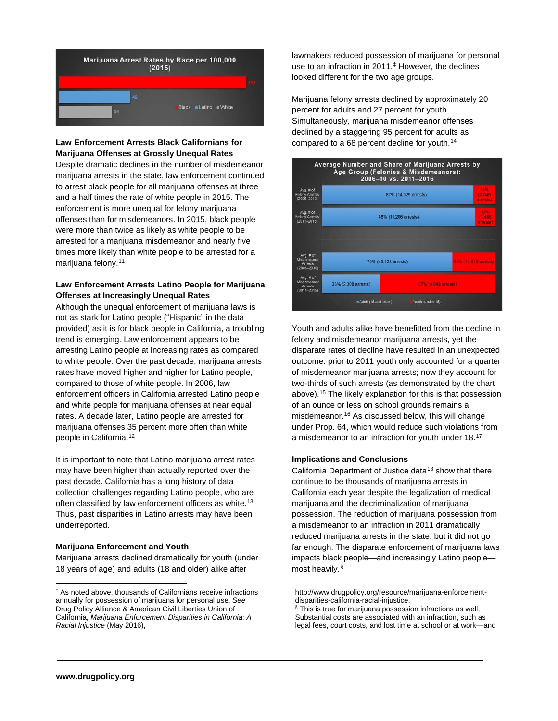

## **Law Enforcement Arrests Black Californians for Marijuana Offenses at Grossly Unequal Rates**

Despite dramatic declines in the number of misdemeanor marijuana arrests in the state, law enforcement continued to arrest black people for all marijuana offenses at three and a half times the rate of white people in 2015. The enforcement is more unequal for felony marijuana offenses than for misdemeanors. In 2015, black people were more than twice as likely as white people to be arrested for a marijuana misdemeanor and nearly five times more likely than white people to be arrested for a marijuana felony. [11](#page-2-10)

## **Law Enforcement Arrests Latino People for Marijuana Offenses at Increasingly Unequal Rates**

Although the unequal enforcement of marijuana laws is not as stark for Latino people ("Hispanic" in the data provided) as it is for black people in California, a troubling trend is emerging. Law enforcement appears to be arresting Latino people at increasing rates as compared to white people. Over the past decade, marijuana arrests rates have moved higher and higher for Latino people, compared to those of white people. In 2006, law enforcement officers in California arrested Latino people and white people for marijuana offenses at near equal rates. A decade later, Latino people are arrested for marijuana offenses 35 percent more often than white people in California. [12](#page-2-11)

It is important to note that Latino marijuana arrest rates may have been higher than actually reported over the past decade. California has a long history of data collection challenges regarding Latino people, who are often classified by law enforcement officers as white.<sup>[13](#page-2-12)</sup> Thus, past disparities in Latino arrests may have been underreported.

## **Marijuana Enforcement and Youth**

Marijuana arrests declined dramatically for youth (under 18 years of age) and adults (18 and older) alike after

lawmakers reduced possession of marijuana for personal use to an infraction in 2011.[‡](#page-1-0) However, the declines looked different for the two age groups.

Marijuana felony arrests declined by approximately 20 percent for adults and 27 percent for youth. Simultaneously, marijuana misdemeanor offenses declined by a staggering 95 percent for adults as compared to a 68 percent decline for youth.<sup>[14](#page-2-6)</sup>



Youth and adults alike have benefitted from the decline in felony and misdemeanor marijuana arrests, yet the disparate rates of decline have resulted in an unexpected outcome: prior to 2011 youth only accounted for a quarter of misdemeanor marijuana arrests; now they account for two-thirds of such arrests (as demonstrated by the chart above). [15](#page-2-7) The likely explanation for this is that possession of an ounce or less on school grounds remains a misdemeanor.[16](#page-2-13) As discussed below, this will change under Prop. 64, which would reduce such violations from a misdemeanor to an infraction for youth under 18[.17](#page-2-14)

## **Implications and Conclusions**

California Department of Justice data<sup>[18](#page-2-9)</sup> show that there continue to be thousands of marijuana arrests in California each year despite the legalization of medical marijuana and the decriminalization of marijuana possession. The reduction of marijuana possession from a misdemeanor to an infraction in 2011 dramatically reduced marijuana arrests in the state, but it did not go far enough. The disparate enforcement of marijuana laws impacts black people—and increasingly Latino people most heavily.[§](#page-1-1)

<span id="page-1-1"></span><span id="page-1-0"></span><sup>‡</sup> As noted above, thousands of Californians receive infractions annually for possession of marijuana for personal use. *See*  Drug Policy Alliance & American Civil Liberties Union of California, *Marijuana Enforcement Disparities in California: A Racial Injustice* (May 2016),

http://www.drugpolicy.org/resource/marijuana-enforcementdisparities-california-racial-injustice.

<sup>§</sup> This is true for marijuana possession infractions as well. Substantial costs are associated with an infraction, such as legal fees, court costs, and lost time at school or at work—and